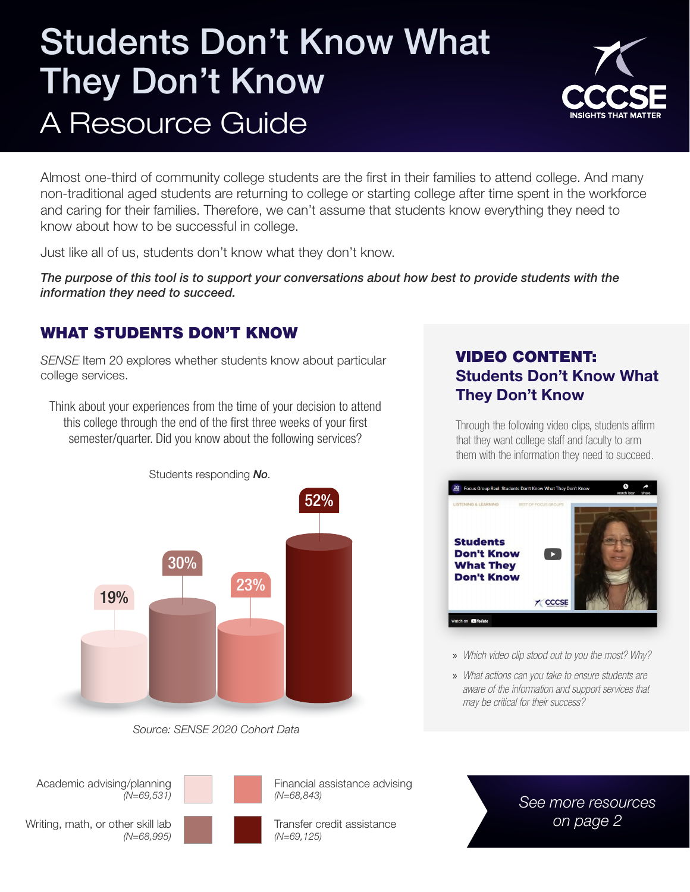## Students Don't Know What They Don't Know A Resource Guide



Almost one-third of community college students are the first in their families to attend college. And many non-traditional aged students are returning to college or starting college after time spent in the workforce and caring for their families. Therefore, we can't assume that students know everything they need to know about how to be successful in college.

Just like all of us, students don't know what they don't know.

*The purpose of this tool is to support your conversations about how best to provide students with the information they need to succeed.* 

#### WHAT STUDENTS DON'T KNOW

*SENSE* Item 20 explores whether students know about particular college services.

Think about your experiences from the time of your decision to attend this college through the end of the first three weeks of your first semester/quarter. Did you know about the following services?



*Source: SENSE 2020 Cohort Data*

#### Academic advising/planning *(N=69,531)*



Financial assistance advising *(N=68,843)*

Transfer credit assistance *(N=69,125)*

#### VIDEO CONTENT: Students Don't Know What They Don't Know

Through the following video clips, students affirm that they want college staff and faculty to arm them with the information they need to succeed.



» *Which video clip stood out to you the most? Why?*

» *What actions can you take to ensure students are aware of the information and support services that may be critical for their success?*

> *See more resources on page 2*

Writing, math, or other skill lab *(N=68,995)*